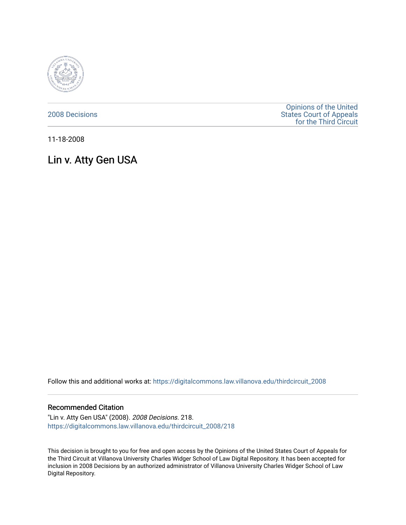

[2008 Decisions](https://digitalcommons.law.villanova.edu/thirdcircuit_2008)

[Opinions of the United](https://digitalcommons.law.villanova.edu/thirdcircuit)  [States Court of Appeals](https://digitalcommons.law.villanova.edu/thirdcircuit)  [for the Third Circuit](https://digitalcommons.law.villanova.edu/thirdcircuit) 

11-18-2008

# Lin v. Atty Gen USA

Follow this and additional works at: [https://digitalcommons.law.villanova.edu/thirdcircuit\\_2008](https://digitalcommons.law.villanova.edu/thirdcircuit_2008?utm_source=digitalcommons.law.villanova.edu%2Fthirdcircuit_2008%2F218&utm_medium=PDF&utm_campaign=PDFCoverPages) 

## Recommended Citation

"Lin v. Atty Gen USA" (2008). 2008 Decisions. 218. [https://digitalcommons.law.villanova.edu/thirdcircuit\\_2008/218](https://digitalcommons.law.villanova.edu/thirdcircuit_2008/218?utm_source=digitalcommons.law.villanova.edu%2Fthirdcircuit_2008%2F218&utm_medium=PDF&utm_campaign=PDFCoverPages)

This decision is brought to you for free and open access by the Opinions of the United States Court of Appeals for the Third Circuit at Villanova University Charles Widger School of Law Digital Repository. It has been accepted for inclusion in 2008 Decisions by an authorized administrator of Villanova University Charles Widger School of Law Digital Repository.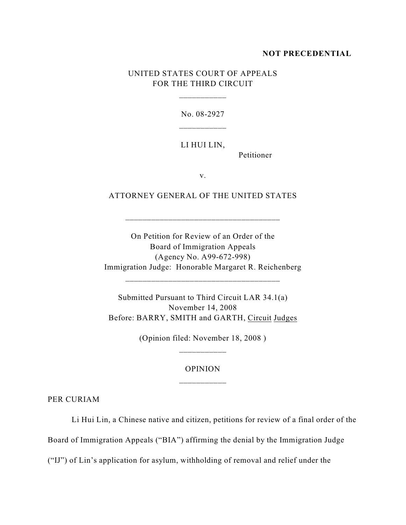#### **NOT PRECEDENTIAL**

## UNITED STATES COURT OF APPEALS FOR THE THIRD CIRCUIT

\_\_\_\_\_\_\_\_\_\_\_

No. 08-2927

## LI HUI LIN,

Petitioner

v.

## ATTORNEY GENERAL OF THE UNITED STATES

\_\_\_\_\_\_\_\_\_\_\_\_\_\_\_\_\_\_\_\_\_\_\_\_\_\_\_\_\_\_\_\_\_\_\_\_

On Petition for Review of an Order of the Board of Immigration Appeals (Agency No. A99-672-998) Immigration Judge: Honorable Margaret R. Reichenberg

\_\_\_\_\_\_\_\_\_\_\_\_\_\_\_\_\_\_\_\_\_\_\_\_\_\_\_\_\_\_\_\_\_\_\_\_

Submitted Pursuant to Third Circuit LAR 34.1(a) November 14, 2008 Before: BARRY, SMITH and GARTH, Circuit Judges

> (Opinion filed: November 18, 2008 ) \_\_\_\_\_\_\_\_\_\_\_

## OPINION

PER CURIAM

Li Hui Lin, a Chinese native and citizen, petitions for review of a final order of the

Board of Immigration Appeals ("BIA") affirming the denial by the Immigration Judge

("IJ") of Lin's application for asylum, withholding of removal and relief under the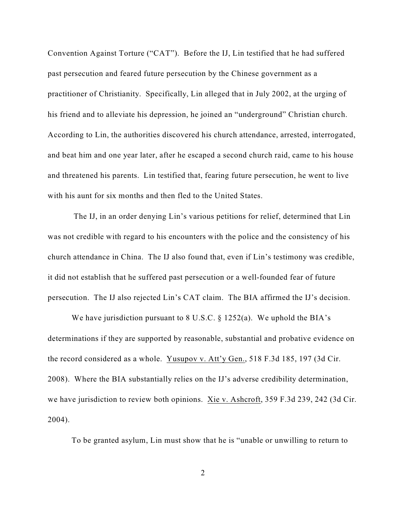Convention Against Torture ("CAT"). Before the IJ, Lin testified that he had suffered past persecution and feared future persecution by the Chinese government as a practitioner of Christianity. Specifically, Lin alleged that in July 2002, at the urging of his friend and to alleviate his depression, he joined an "underground" Christian church. According to Lin, the authorities discovered his church attendance, arrested, interrogated, and beat him and one year later, after he escaped a second church raid, came to his house and threatened his parents. Lin testified that, fearing future persecution, he went to live with his aunt for six months and then fled to the United States.

 The IJ, in an order denying Lin's various petitions for relief, determined that Lin was not credible with regard to his encounters with the police and the consistency of his church attendance in China. The IJ also found that, even if Lin's testimony was credible, it did not establish that he suffered past persecution or a well-founded fear of future persecution. The IJ also rejected Lin's CAT claim. The BIA affirmed the IJ's decision.

We have jurisdiction pursuant to  $8 \text{ U.S.C.}$   $\S$  1252(a). We uphold the BIA's determinations if they are supported by reasonable, substantial and probative evidence on the record considered as a whole. Yusupov v. Att'y Gen., 518 F.3d 185, 197 (3d Cir. 2008). Where the BIA substantially relies on the IJ's adverse credibility determination, we have jurisdiction to review both opinions. Xie v. Ashcroft, 359 F.3d 239, 242 (3d Cir. 2004).

To be granted asylum, Lin must show that he is "unable or unwilling to return to

2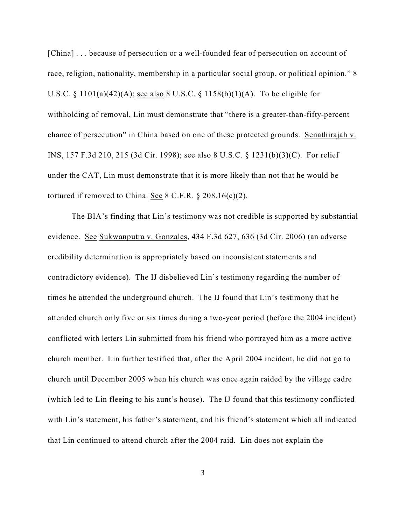[China] . . . because of persecution or a well-founded fear of persecution on account of race, religion, nationality, membership in a particular social group, or political opinion." 8 U.S.C. § 1101(a)(42)(A); see also 8 U.S.C. § 1158(b)(1)(A). To be eligible for withholding of removal, Lin must demonstrate that "there is a greater-than-fifty-percent chance of persecution" in China based on one of these protected grounds. Senathirajah v. INS, 157 F.3d 210, 215 (3d Cir. 1998); see also 8 U.S.C. § 1231(b)(3)(C). For relief under the CAT, Lin must demonstrate that it is more likely than not that he would be tortured if removed to China. See 8 C.F.R.  $\S 208.16(c)(2)$ .

The BIA's finding that Lin's testimony was not credible is supported by substantial evidence. See Sukwanputra v. Gonzales, 434 F.3d 627, 636 (3d Cir. 2006) (an adverse credibility determination is appropriately based on inconsistent statements and contradictory evidence). The IJ disbelieved Lin's testimony regarding the number of times he attended the underground church. The IJ found that Lin's testimony that he attended church only five or six times during a two-year period (before the 2004 incident) conflicted with letters Lin submitted from his friend who portrayed him as a more active church member. Lin further testified that, after the April 2004 incident, he did not go to church until December 2005 when his church was once again raided by the village cadre (which led to Lin fleeing to his aunt's house). The IJ found that this testimony conflicted with Lin's statement, his father's statement, and his friend's statement which all indicated that Lin continued to attend church after the 2004 raid. Lin does not explain the